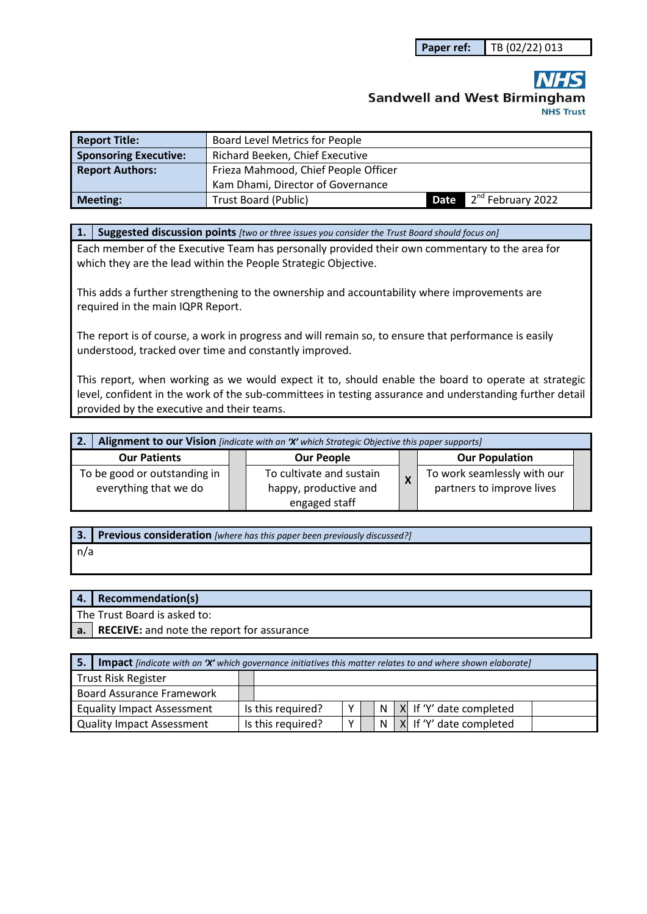# **Sandwell and West Birmingham NHS Trust**

| <b>Report Title:</b>         | <b>Board Level Metrics for People</b> |      |                                 |  |  |
|------------------------------|---------------------------------------|------|---------------------------------|--|--|
| <b>Sponsoring Executive:</b> | Richard Beeken, Chief Executive       |      |                                 |  |  |
| <b>Report Authors:</b>       | Frieza Mahmood, Chief People Officer  |      |                                 |  |  |
|                              | Kam Dhami, Director of Governance     |      |                                 |  |  |
| <b>Meeting:</b>              | Trust Board (Public)                  | Date | ▲ 2 <sup>nd</sup> February 2022 |  |  |

**1. Suggested discussion points** *[two or three issues you consider the Trust Board should focus on]* 

Each member of the Executive Team has personally provided their own commentary to the area for which they are the lead within the People Strategic Objective.

This adds a further strengthening to the ownership and accountability where improvements are required in the main IQPR Report.

The report is of course, a work in progress and will remain so, to ensure that performance is easily understood, tracked over time and constantly improved.

This report, when working as we would expect it to, should enable the board to operate at strategic level, confident in the work of the sub-committees in testing assurance and understanding further detail provided by the executive and their teams.

| Alignment to our Vision [indicate with an 'X' which Strategic Objective this paper supports]<br>' 2. |  |                                                                    |   |                                                          |  |
|------------------------------------------------------------------------------------------------------|--|--------------------------------------------------------------------|---|----------------------------------------------------------|--|
| <b>Our Patients</b>                                                                                  |  | <b>Our People</b>                                                  |   | <b>Our Population</b>                                    |  |
| To be good or outstanding in<br>everything that we do                                                |  | To cultivate and sustain<br>happy, productive and<br>engaged staff | X | To work seamlessly with our<br>partners to improve lives |  |

**3. Previous consideration** *[where has this paper been previously discussed?]*

n/a

#### **4. Recommendation(s)**

The Trust Board is asked to:

**a. RECEIVE:** and note the report for assurance

| <b>5.</b> Impact [indicate with an 'X' which governance initiatives this matter relates to and where shown elaborate] |  |                   |              |  |  |  |                                               |
|-----------------------------------------------------------------------------------------------------------------------|--|-------------------|--------------|--|--|--|-----------------------------------------------|
| Trust Risk Register                                                                                                   |  |                   |              |  |  |  |                                               |
| Board Assurance Framework                                                                                             |  |                   |              |  |  |  |                                               |
| <b>Equality Impact Assessment</b>                                                                                     |  | Is this required? | v            |  |  |  | $ N X $ If 'Y' date completed                 |
| Quality Impact Assessment                                                                                             |  | Is this required? | $\checkmark$ |  |  |  | $\vert N \vert X \vert$ If 'Y' date completed |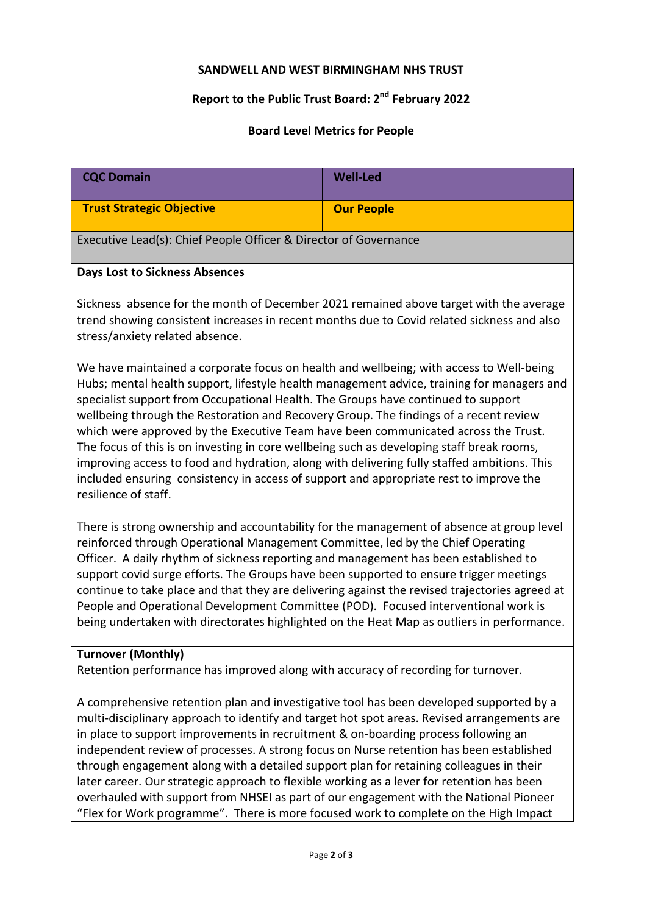### **SANDWELL AND WEST BIRMINGHAM NHS TRUST**

# **Report to the Public Trust Board: 2nd February 2022**

# **Board Level Metrics for People**

| <b>CQC Domain</b>                                                                                                                                                                                                                                                                                                                                                                                                                                                                                                                                                                                                                                                                                                                                                       | <b>Well-Led</b>   |  |  |  |  |
|-------------------------------------------------------------------------------------------------------------------------------------------------------------------------------------------------------------------------------------------------------------------------------------------------------------------------------------------------------------------------------------------------------------------------------------------------------------------------------------------------------------------------------------------------------------------------------------------------------------------------------------------------------------------------------------------------------------------------------------------------------------------------|-------------------|--|--|--|--|
| <b>Trust Strategic Objective</b>                                                                                                                                                                                                                                                                                                                                                                                                                                                                                                                                                                                                                                                                                                                                        | <b>Our People</b> |  |  |  |  |
| Executive Lead(s): Chief People Officer & Director of Governance                                                                                                                                                                                                                                                                                                                                                                                                                                                                                                                                                                                                                                                                                                        |                   |  |  |  |  |
| <b>Days Lost to Sickness Absences</b>                                                                                                                                                                                                                                                                                                                                                                                                                                                                                                                                                                                                                                                                                                                                   |                   |  |  |  |  |
| Sickness absence for the month of December 2021 remained above target with the average<br>trend showing consistent increases in recent months due to Covid related sickness and also<br>stress/anxiety related absence.                                                                                                                                                                                                                                                                                                                                                                                                                                                                                                                                                 |                   |  |  |  |  |
| We have maintained a corporate focus on health and wellbeing; with access to Well-being<br>Hubs; mental health support, lifestyle health management advice, training for managers and<br>specialist support from Occupational Health. The Groups have continued to support<br>wellbeing through the Restoration and Recovery Group. The findings of a recent review<br>which were approved by the Executive Team have been communicated across the Trust.<br>The focus of this is on investing in core wellbeing such as developing staff break rooms,<br>improving access to food and hydration, along with delivering fully staffed ambitions. This<br>included ensuring consistency in access of support and appropriate rest to improve the<br>resilience of staff. |                   |  |  |  |  |
| There is strong ownership and accountability for the management of absence at group level<br>reinforced through Operational Management Committee, led by the Chief Operating<br>Officer. A daily rhythm of sickness reporting and management has been established to<br>support covid surge efforts. The Groups have been supported to ensure trigger meetings<br>continue to take place and that they are delivering against the revised trajectories agreed at<br>People and Operational Development Committee (POD). Focused interventional work is<br>being undertaken with directorates highlighted on the Heat Map as outliers in performance.                                                                                                                    |                   |  |  |  |  |
| <b>Turnover (Monthly)</b><br>Retention performance has improved along with accuracy of recording for turnover.                                                                                                                                                                                                                                                                                                                                                                                                                                                                                                                                                                                                                                                          |                   |  |  |  |  |
| A comprehensive retention plan and investigative tool has been developed supported by a<br>multi-disciplinary approach to identify and target hot spot areas. Revised arrangements are<br>in place to support improvements in recruitment & on-boarding process following an<br>independent review of processes. A strong focus on Nurse retention has been established<br>through engagement along with a detailed support plan for retaining colleagues in their                                                                                                                                                                                                                                                                                                      |                   |  |  |  |  |

later career. Our strategic approach to flexible working as a lever for retention has been overhauled with support from NHSEI as part of our engagement with the National Pioneer "Flex for Work programme". There is more focused work to complete on the High Impact